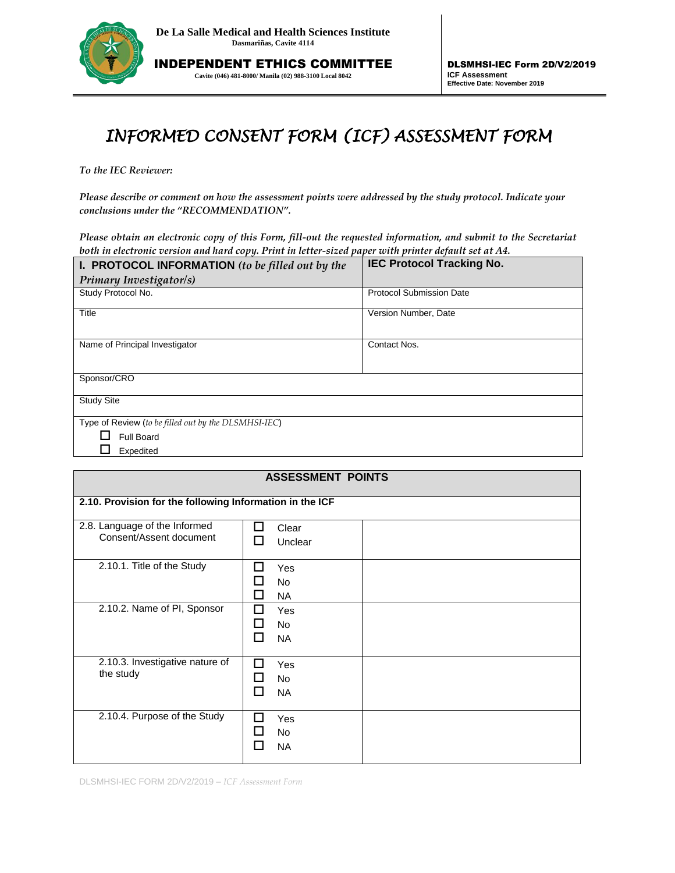

INDEPENDENT ETHICS COMMITTEE **Cavite (046) 481-8000/ Manila (02) 988-3100 Local 8042**

## *INFORMED CONSENT FORM (ICF) ASSESSMENT FORM*

*To the IEC Reviewer:* 

*Please describe or comment on how the assessment points were addressed by the study protocol. Indicate your conclusions under the "RECOMMENDATION".*

*Please obtain an electronic copy of this Form, fill-out the requested information, and submit to the Secretariat both in electronic version and hard copy. Print in letter-sized paper with printer default set at A4.*

| <b>I. PROTOCOL INFORMATION</b> (to be filled out by the | <b>IEC Protocol Tracking No.</b> |  |
|---------------------------------------------------------|----------------------------------|--|
| Primary Investigator/s)                                 |                                  |  |
| Study Protocol No.                                      | <b>Protocol Submission Date</b>  |  |
| Title                                                   | Version Number, Date             |  |
| Name of Principal Investigator                          | Contact Nos.                     |  |
| Sponsor/CRO                                             |                                  |  |
| <b>Study Site</b>                                       |                                  |  |
| Type of Review (to be filled out by the DLSMHSI-IEC)    |                                  |  |
| Full Board                                              |                                  |  |
| Expedited                                               |                                  |  |

| <b>ASSESSMENT POINTS</b>                                 |                                                                                      |  |  |
|----------------------------------------------------------|--------------------------------------------------------------------------------------|--|--|
| 2.10. Provision for the following Information in the ICF |                                                                                      |  |  |
| 2.8. Language of the Informed<br>Consent/Assent document | Clear<br>ш<br>Unclear<br>l.                                                          |  |  |
| 2.10.1. Title of the Study                               | Yes<br>$\blacksquare$<br><b>No</b><br>H<br>H<br><b>NA</b>                            |  |  |
| 2.10.2. Name of PI, Sponsor                              | П<br>Yes<br><b>No</b><br>Ш<br>П<br><b>NA</b>                                         |  |  |
| 2.10.3. Investigative nature of<br>the study             | П<br>Yes<br>No<br>$\mathbf{I}$<br>П<br><b>NA</b>                                     |  |  |
| 2.10.4. Purpose of the Study                             | Yes<br>$\mathbf{I}$<br>No<br>$\blacksquare$<br><b>NA</b><br>$\overline{\phantom{a}}$ |  |  |

DLSMHSI-IEC FORM 2D/V2/2019 – *ICF Assessment Form*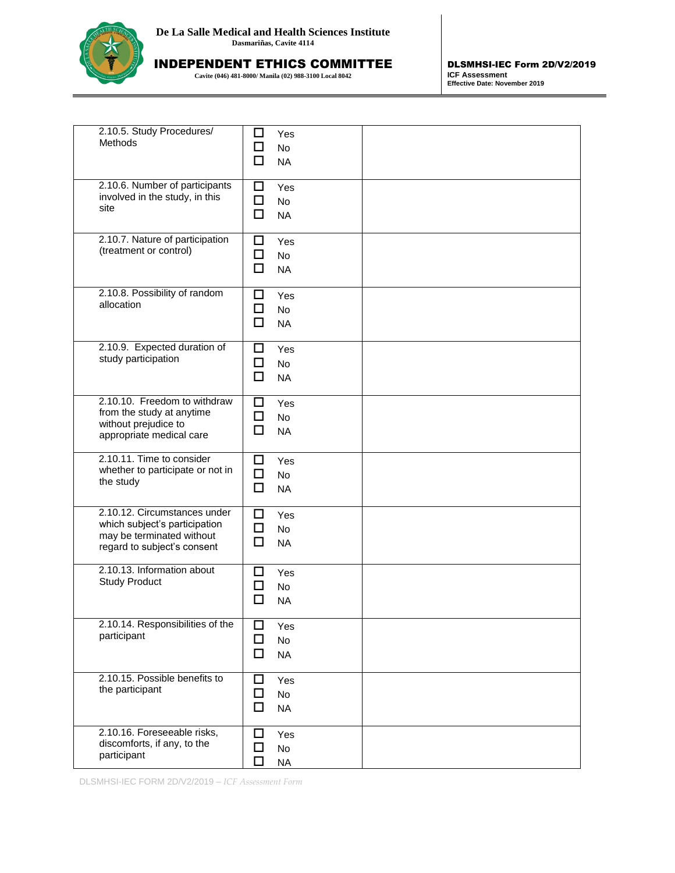

INDEPENDENT ETHICS COMMITTEE

**Cavite (046) 481-8000/ Manila (02) 988-3100 Local 8042**

DLSMHSI-IEC Form 2D/V2/2019 **ICF Assessment Effective Date: November 2019**

| 2.10.5. Study Procedures/<br>Methods                                                                                      | □<br>Yes<br>□<br>No<br>□<br><b>NA</b>                  |  |
|---------------------------------------------------------------------------------------------------------------------------|--------------------------------------------------------|--|
| 2.10.6. Number of participants<br>involved in the study, in this<br>site                                                  | □<br>Yes<br>□<br>No<br>□<br><b>NA</b>                  |  |
| 2.10.7. Nature of participation<br>(treatment or control)                                                                 | ◻<br>Yes<br>□<br><b>No</b><br>$\Box$<br><b>NA</b>      |  |
| 2.10.8. Possibility of random<br>allocation                                                                               | □<br>Yes<br>$\Box$<br><b>No</b><br>$\Box$<br><b>NA</b> |  |
| 2.10.9. Expected duration of<br>study participation                                                                       | □<br>Yes<br>$\Box$<br>No<br>$\Box$<br><b>NA</b>        |  |
| 2.10.10. Freedom to withdraw<br>from the study at anytime<br>without prejudice to<br>appropriate medical care             | ◻<br>Yes<br>$\Box$<br><b>No</b><br>$\Box$<br><b>NA</b> |  |
| 2.10.11. Time to consider<br>whether to participate or not in<br>the study                                                | □<br>Yes<br>$\Box$<br>No<br>$\Box$<br><b>NA</b>        |  |
| 2.10.12. Circumstances under<br>which subject's participation<br>may be terminated without<br>regard to subject's consent | □<br>Yes<br>□<br>No<br>□<br><b>NA</b>                  |  |
| 2.10.13. Information about<br><b>Study Product</b>                                                                        | ப<br>Yes<br>□<br>No<br>П<br><b>NA</b>                  |  |
| 2.10.14. Responsibilities of the<br>participant                                                                           | □<br>Yes<br>□<br>No<br>□<br><b>NA</b>                  |  |
| 2.10.15. Possible benefits to<br>the participant                                                                          | □<br>Yes<br>□<br><b>No</b><br>□<br><b>NA</b>           |  |
| 2.10.16. Foreseeable risks,<br>discomforts, if any, to the<br>participant                                                 | □<br>Yes<br>□<br>No<br>п<br><b>NA</b>                  |  |

DLSMHSI-IEC FORM 2D/V2/2019 – *ICF Assessment Form*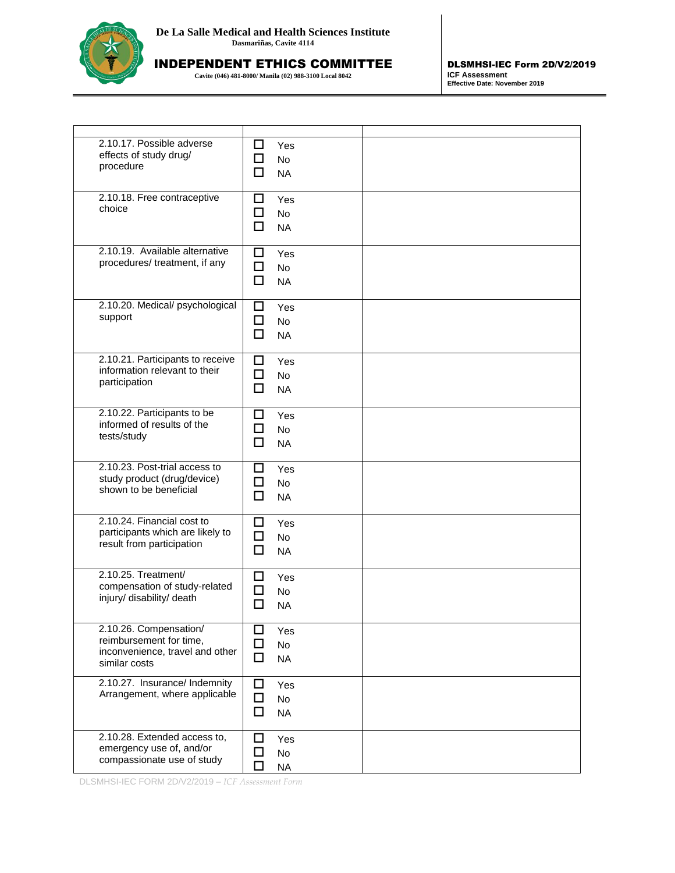

INDEPENDENT ETHICS COMMITTEE

**Cavite (046) 481-8000/ Manila (02) 988-3100 Local 8042**

DLSMHSI-IEC Form 2D/V2/2019 **ICF Assessment Effective Date: November 2019**

| 2.10.17. Possible adverse<br>effects of study drug/<br>procedure                                      | □<br>Yes<br>□<br>No<br>п<br><b>NA</b>             |  |
|-------------------------------------------------------------------------------------------------------|---------------------------------------------------|--|
| 2.10.18. Free contraceptive<br>choice                                                                 | □<br>Yes<br>□<br>No<br>$\Box$<br><b>NA</b>        |  |
| 2.10.19. Available alternative<br>procedures/ treatment, if any                                       | ◻<br>Yes<br>□<br>No<br>□<br><b>NA</b>             |  |
| 2.10.20. Medical/ psychological<br>support                                                            | □<br>Yes<br>□<br>No<br>□<br><b>NA</b>             |  |
| 2.10.21. Participants to receive<br>information relevant to their<br>participation                    | □<br>Yes<br>□<br>No<br>□<br><b>NA</b>             |  |
| 2.10.22. Participants to be<br>informed of results of the<br>tests/study                              | □<br>Yes<br>□<br><b>No</b><br>$\Box$<br><b>NA</b> |  |
| 2.10.23. Post-trial access to<br>study product (drug/device)<br>shown to be beneficial                | ப<br>Yes<br>□<br>No<br>□<br><b>NA</b>             |  |
| 2.10.24. Financial cost to<br>participants which are likely to<br>result from participation           | □<br>Yes<br>◘<br>No<br>□<br><b>NA</b>             |  |
| 2.10.25. Treatment/<br>compensation of study-related<br>injury/ disability/ death                     | □<br>Yes<br>□<br>No<br>□<br><b>NA</b>             |  |
| 2.10.26. Compensation/<br>reimbursement for time,<br>inconvenience, travel and other<br>similar costs | $\Box$<br>Yes<br>□<br>No<br>□<br><b>NA</b>        |  |
| 2.10.27. Insurance/ Indemnity<br>Arrangement, where applicable                                        | □<br>Yes<br>$\Box$<br>No<br>$\Box$<br><b>NA</b>   |  |
| 2.10.28. Extended access to,<br>emergency use of, and/or<br>compassionate use of study                | □<br>Yes<br>No<br>$\sqcup$<br>п<br><b>NA</b>      |  |

DLSMHSI-IEC FORM 2D/V2/2019 – *ICF Assessment Form*